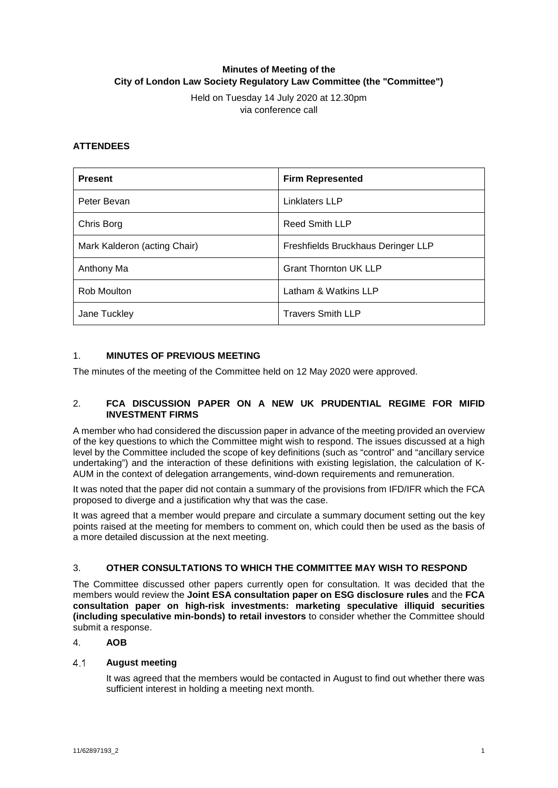# **Minutes of Meeting of the City of London Law Society Regulatory Law Committee (the "Committee")**

Held on Tuesday 14 July 2020 at 12.30pm via conference call

# **ATTENDEES**

| <b>Present</b>               | <b>Firm Represented</b>            |
|------------------------------|------------------------------------|
| Peter Bevan                  | <b>Linklaters LLP</b>              |
| Chris Borg                   | <b>Reed Smith LLP</b>              |
| Mark Kalderon (acting Chair) | Freshfields Bruckhaus Deringer LLP |
| Anthony Ma                   | <b>Grant Thornton UK LLP</b>       |
| Rob Moulton                  | Latham & Watkins LLP               |
| Jane Tuckley                 | <b>Travers Smith LLP</b>           |

# 1. **MINUTES OF PREVIOUS MEETING**

The minutes of the meeting of the Committee held on 12 May 2020 were approved.

### 2. **FCA DISCUSSION PAPER ON A NEW UK PRUDENTIAL REGIME FOR MIFID INVESTMENT FIRMS**

A member who had considered the discussion paper in advance of the meeting provided an overview of the key questions to which the Committee might wish to respond. The issues discussed at a high level by the Committee included the scope of key definitions (such as "control" and "ancillary service undertaking") and the interaction of these definitions with existing legislation, the calculation of K-AUM in the context of delegation arrangements, wind-down requirements and remuneration.

It was noted that the paper did not contain a summary of the provisions from IFD/IFR which the FCA proposed to diverge and a justification why that was the case.

It was agreed that a member would prepare and circulate a summary document setting out the key points raised at the meeting for members to comment on, which could then be used as the basis of a more detailed discussion at the next meeting.

#### 3. **OTHER CONSULTATIONS TO WHICH THE COMMITTEE MAY WISH TO RESPOND**

The Committee discussed other papers currently open for consultation. It was decided that the members would review the **Joint ESA consultation paper on ESG disclosure rules** and the **FCA consultation paper on high-risk investments: marketing speculative illiquid securities (including speculative min-bonds) to retail investors** to consider whether the Committee should submit a response.

#### 4. **AOB**

#### $4.1$ **August meeting**

It was agreed that the members would be contacted in August to find out whether there was sufficient interest in holding a meeting next month.